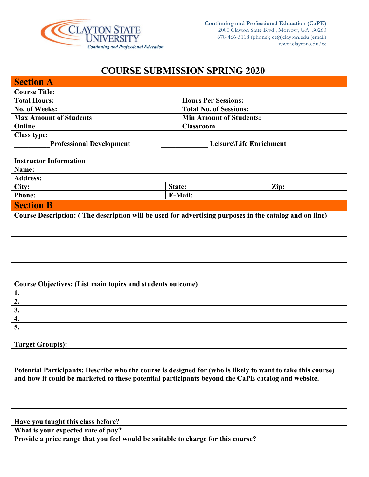

# **COURSE SUBMISSION SPRING 2020**

| <b>Section A</b>                                                                                            |        |                                |      |
|-------------------------------------------------------------------------------------------------------------|--------|--------------------------------|------|
| <b>Course Title:</b>                                                                                        |        |                                |      |
| <b>Total Hours:</b>                                                                                         |        | <b>Hours Per Sessions:</b>     |      |
| No. of Weeks:                                                                                               |        | <b>Total No. of Sessions:</b>  |      |
| <b>Max Amount of Students</b>                                                                               |        | <b>Min Amount of Students:</b> |      |
| Online                                                                                                      |        | <b>Classroom</b>               |      |
| <b>Class type:</b>                                                                                          |        |                                |      |
| <b>Professional Development</b>                                                                             |        | Leisure\Life Enrichment        |      |
|                                                                                                             |        |                                |      |
| <b>Instructor Information</b>                                                                               |        |                                |      |
| Name:                                                                                                       |        |                                |      |
| <b>Address:</b>                                                                                             |        |                                |      |
| City:                                                                                                       | State: |                                | Zip: |
| <b>Phone:</b>                                                                                               |        | E-Mail:                        |      |
| <b>Section B</b>                                                                                            |        |                                |      |
| Course Description: (The description will be used for advertising purposes in the catalog and on line)      |        |                                |      |
|                                                                                                             |        |                                |      |
|                                                                                                             |        |                                |      |
|                                                                                                             |        |                                |      |
|                                                                                                             |        |                                |      |
|                                                                                                             |        |                                |      |
|                                                                                                             |        |                                |      |
|                                                                                                             |        |                                |      |
| Course Objectives: (List main topics and students outcome)                                                  |        |                                |      |
| 1.                                                                                                          |        |                                |      |
| $\overline{2}$ .                                                                                            |        |                                |      |
| 3.                                                                                                          |        |                                |      |
| 4.                                                                                                          |        |                                |      |
| 5.                                                                                                          |        |                                |      |
|                                                                                                             |        |                                |      |
| <b>Target Group(s):</b>                                                                                     |        |                                |      |
|                                                                                                             |        |                                |      |
|                                                                                                             |        |                                |      |
| Potential Participants: Describe who the course is designed for (who is likely to want to take this course) |        |                                |      |
| and how it could be marketed to these potential participants beyond the CaPE catalog and website.           |        |                                |      |
|                                                                                                             |        |                                |      |
|                                                                                                             |        |                                |      |
|                                                                                                             |        |                                |      |
|                                                                                                             |        |                                |      |
| Have you taught this class before?                                                                          |        |                                |      |
| What is your expected rate of pay?                                                                          |        |                                |      |
| Provide a price range that you feel would be suitable to charge for this course?                            |        |                                |      |